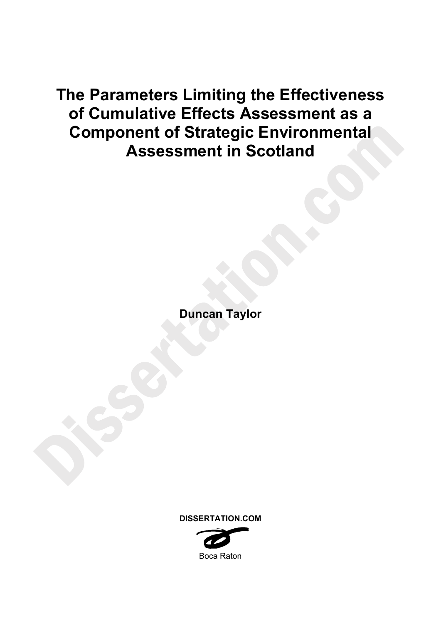# **The Parameters Limiting the Effectiveness of Cumulative Effects Assessment as a Component of Strategic Environmental Assessment in Scotland**

**Duncan Taylor** 

**DISSERTATION.COM** 

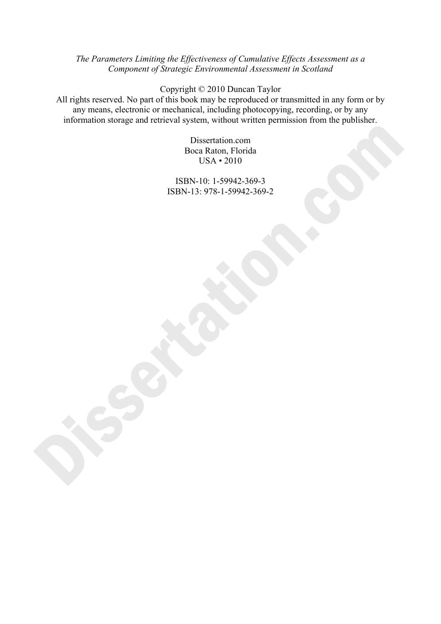# *The Parameters Limiting the Effectiveness of Cumulative Effects Assessment as a Component of Strategic Environmental Assessment in Scotland*

Copyright © 2010 Duncan Taylor

All rights reserved. No part of this book may be reproduced or transmitted in any form or by any means, electronic or mechanical, including photocopying, recording, or by any information storage and retrieval system, without written permission from the publisher.

> Dissertation.com Boca Raton, Florida USA • 2010

ISBN-10: 1-59942-369-3 ISBN-13: 978-1-59942-369-2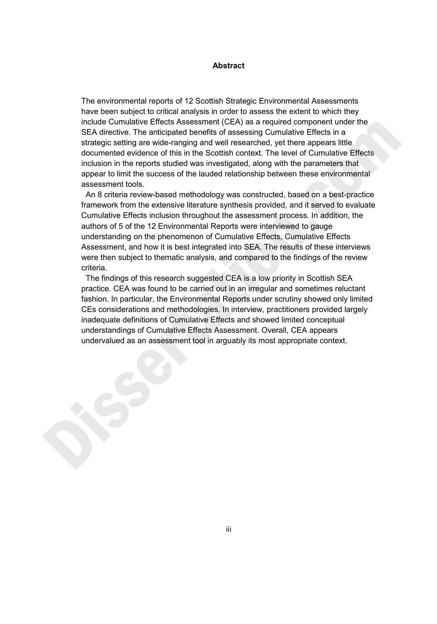#### **Abstract**

The environmental reports of 12 Scottish Strategic Environmental Assessments have been subject to critical analysis in order to assess the extent to which they include Cumulative Effects Assessment (CEA) as a required component under the SEA directive. The anticipated benefits of assessing Cumulative Effects in a strategic setting are wide-ranging and well researched, yet there appears little documented evidence of this in the Scottish context. The level of Cumulative Effects inclusion in the reports studied was investigated, along with the parameters that appear to limit the success of the lauded relationship between these environmental assessment tools.

 An 8 criteria review-based methodology was constructed, based on a best-practice framework from the extensive literature synthesis provided, and it served to evaluate Cumulative Effects inclusion throughout the assessment process. In addition, the authors of 5 of the 12 Environmental Reports were interviewed to gauge understanding on the phenomenon of Cumulative Effects, Cumulative Effects Assessment, and how it is best integrated into SEA. The results of these interviews were then subject to thematic analysis, and compared to the findings of the review criteria.

 The findings of this research suggested CEA is a low priority in Scottish SEA practice. CEA was found to be carried out in an irregular and sometimes reluctant fashion. In particular, the Environmental Reports under scrutiny showed only limited CEs considerations and methodologies. In interview, practitioners provided largely inadequate definitions of Cumulative Effects and showed limited conceptual understandings of Cumulative Effects Assessment. Overall, CEA appears undervalued as an assessment tool in arguably its most appropriate context.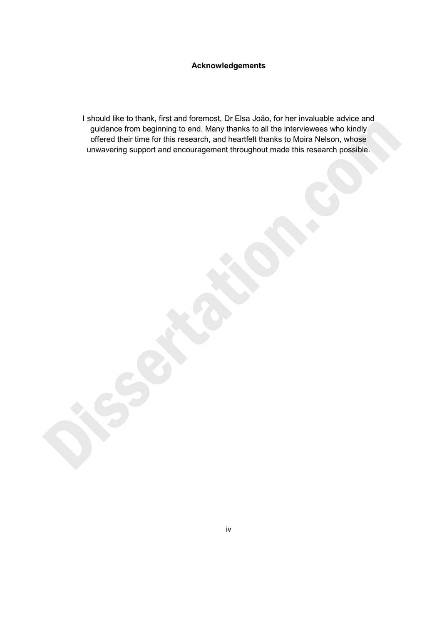# **Acknowledgements**

I should like to thank, first and foremost, Dr Elsa João, for her invaluable advice and guidance from beginning to end. Many thanks to all the interviewees who kindly offered their time for this research, and heartfelt thanks to Moira Nelson, whose unwavering support and encouragement throughout made this research possible.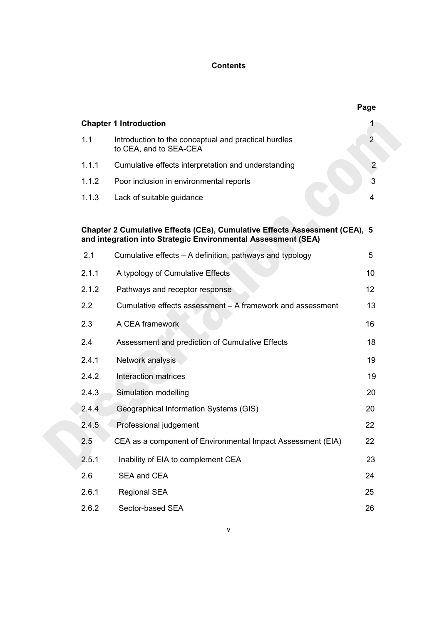### **Contents**

|       |                                                                                                                                             | Page           |
|-------|---------------------------------------------------------------------------------------------------------------------------------------------|----------------|
|       | <b>Chapter 1 Introduction</b>                                                                                                               | 1              |
| 1.1   | Introduction to the conceptual and practical hurdles<br>to CEA, and to SEA-CEA                                                              | $\overline{2}$ |
| 1.1.1 | Cumulative effects interpretation and understanding                                                                                         | $\overline{2}$ |
| 1.1.2 | Poor inclusion in environmental reports                                                                                                     | 3              |
| 1.1.3 | Lack of suitable guidance                                                                                                                   | 4              |
|       | Chapter 2 Cumulative Effects (CEs), Cumulative Effects Assessment (CEA), 5<br>and integration into Strategic Environmental Assessment (SEA) |                |
| 2.1   | Cumulative effects – A definition, pathways and typology                                                                                    | 5              |
| 2.1.1 | A typology of Cumulative Effects                                                                                                            | 10             |
| 2.1.2 | Pathways and receptor response                                                                                                              | 12             |
| 2.2   | Cumulative effects assessment - A framework and assessment                                                                                  | 13             |
| 2.3   | A CEA framework                                                                                                                             | 16             |
| 2.4   | Assessment and prediction of Cumulative Effects                                                                                             | 18             |
| 2.4.1 | Network analysis                                                                                                                            | 19             |
| 2.4.2 | Interaction matrices                                                                                                                        | 19             |
| 2.4.3 | Simulation modelling                                                                                                                        | 20             |
| 2.4.4 | Geographical Information Systems (GIS)                                                                                                      | 20             |
| 2.4.5 | Professional judgement                                                                                                                      | 22             |
| 2.5   | CEA as a component of Environmental Impact Assessment (EIA)                                                                                 | 22             |
| 2.5.1 | Inability of EIA to complement CEA                                                                                                          | 23             |
| 2.6   | SEA and CEA                                                                                                                                 | 24             |
| 2.6.1 | <b>Regional SEA</b>                                                                                                                         | 25             |
| 2.6.2 | Sector-based SEA                                                                                                                            | 26             |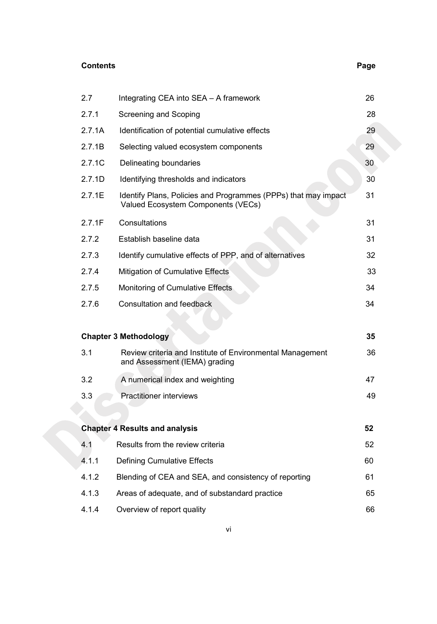# **Contents** Page **Page 2011**

| 2.7    | Integrating CEA into SEA - A framework                                                               | 26 |
|--------|------------------------------------------------------------------------------------------------------|----|
| 2.7.1  | Screening and Scoping                                                                                |    |
| 2.7.1A | Identification of potential cumulative effects                                                       |    |
| 2.7.1B | Selecting valued ecosystem components                                                                |    |
| 2.7.1C | Delineating boundaries                                                                               |    |
| 2.7.1D | Identifying thresholds and indicators                                                                |    |
| 2.7.1E | Identify Plans, Policies and Programmes (PPPs) that may impact<br>Valued Ecosystem Components (VECs) |    |
| 2.7.1F | Consultations                                                                                        | 31 |
| 2.7.2  | Establish baseline data                                                                              | 31 |
| 2.7.3  | Identify cumulative effects of PPP, and of alternatives                                              | 32 |
| 2.7.4  | Mitigation of Cumulative Effects                                                                     | 33 |
| 2.7.5  | Monitoring of Cumulative Effects                                                                     | 34 |
| 2.7.6  | Consultation and feedback                                                                            | 34 |
|        | <b>Chapter 3 Methodology</b>                                                                         | 35 |
| 3.1    | Review criteria and Institute of Environmental Management<br>and Assessment (IEMA) grading           | 36 |
| 3.2    | A numerical index and weighting                                                                      | 47 |
| 3.3    | <b>Practitioner interviews</b>                                                                       | 49 |
|        | <b>Chapter 4 Results and analysis</b>                                                                | 52 |
| 4.1    | Results from the review criteria                                                                     | 52 |
| 4.1.1  | <b>Defining Cumulative Effects</b>                                                                   | 60 |
| 4.1.2  | Blending of CEA and SEA, and consistency of reporting                                                | 61 |
| 4.1.3  | Areas of adequate, and of substandard practice                                                       | 65 |
|        |                                                                                                      |    |

4.1.4 Overview of report quality 66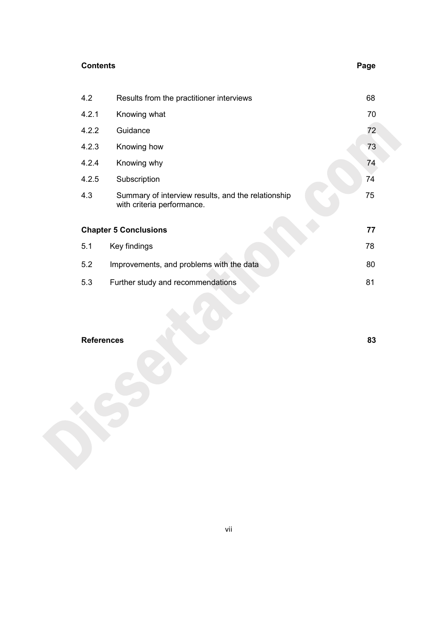# **Contents** Page **Page 2014**

| 4.2   | Results from the practitioner interviews                                         | 68 |
|-------|----------------------------------------------------------------------------------|----|
| 4.2.1 | Knowing what                                                                     | 70 |
| 4.2.2 | Guidance                                                                         | 72 |
| 4.2.3 | Knowing how                                                                      | 73 |
| 4.2.4 | Knowing why                                                                      | 74 |
| 4.2.5 | Subscription                                                                     | 74 |
| 4.3   | Summary of interview results, and the relationship<br>with criteria performance. | 75 |
|       | <b>Chapter 5 Conclusions</b>                                                     | 77 |
| 5.1   | Key findings                                                                     | 78 |
| 5.2   | Improvements, and problems with the data                                         | 80 |
| 5.3   | Further study and recommendations                                                | 81 |
|       |                                                                                  |    |

# **References 83**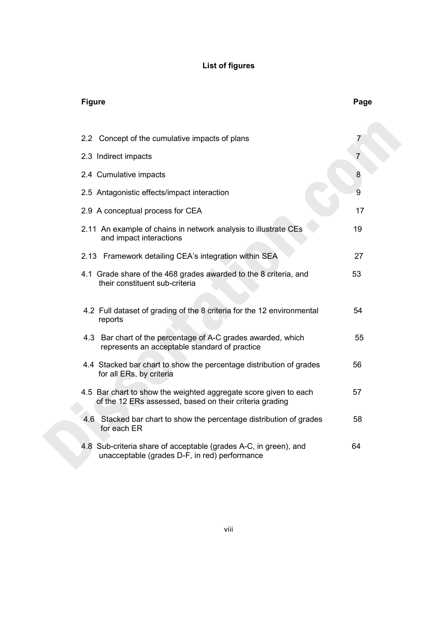# **List of figures**

| <b>Figure</b>                                                                                                               | Page |
|-----------------------------------------------------------------------------------------------------------------------------|------|
| 2.2 Concept of the cumulative impacts of plans                                                                              | 7    |
|                                                                                                                             |      |
| 2.3 Indirect impacts                                                                                                        | 7    |
| 2.4 Cumulative impacts                                                                                                      | 8    |
| 2.5 Antagonistic effects/impact interaction                                                                                 | 9    |
| 2.9 A conceptual process for CEA                                                                                            | 17   |
| 2.11 An example of chains in network analysis to illustrate CEs<br>and impact interactions                                  | 19   |
| 2.13 Framework detailing CEA's integration within SEA                                                                       | 27   |
| 4.1 Grade share of the 468 grades awarded to the 8 criteria, and<br>their constituent sub-criteria                          | 53   |
| 4.2 Full dataset of grading of the 8 criteria for the 12 environmental<br>reports                                           | 54   |
| 4.3 Bar chart of the percentage of A-C grades awarded, which<br>represents an acceptable standard of practice               | 55   |
| 4.4 Stacked bar chart to show the percentage distribution of grades<br>for all ERs, by criteria                             | 56   |
| 4.5 Bar chart to show the weighted aggregate score given to each<br>of the 12 ERs assessed, based on their criteria grading | 57   |
| 4.6 Stacked bar chart to show the percentage distribution of grades<br>for each ER                                          | 58   |
| 4.8 Sub-criteria share of acceptable (grades A-C, in green), and<br>unacceptable (grades D-F, in red) performance           | 64   |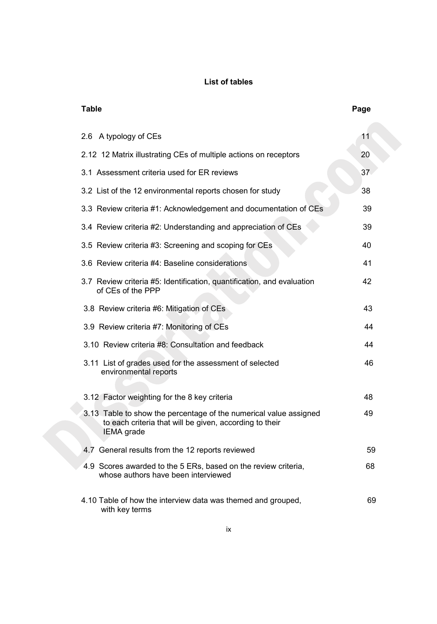### **List of tables**

| <b>Table</b>                                                                                                                               | Page |
|--------------------------------------------------------------------------------------------------------------------------------------------|------|
| 2.6 A typology of CEs                                                                                                                      | 11   |
| 2.12 12 Matrix illustrating CEs of multiple actions on receptors                                                                           | 20   |
| 3.1 Assessment criteria used for ER reviews                                                                                                | 37   |
| 3.2 List of the 12 environmental reports chosen for study                                                                                  | 38   |
| 3.3 Review criteria #1: Acknowledgement and documentation of CEs                                                                           | 39   |
| 3.4 Review criteria #2: Understanding and appreciation of CEs                                                                              | 39   |
| 3.5 Review criteria #3: Screening and scoping for CEs                                                                                      | 40   |
| 3.6 Review criteria #4: Baseline considerations                                                                                            | 41   |
| 3.7 Review criteria #5: Identification, quantification, and evaluation<br>of CEs of the PPP                                                | 42   |
| 3.8 Review criteria #6: Mitigation of CEs                                                                                                  | 43   |
| 3.9 Review criteria #7: Monitoring of CEs                                                                                                  | 44   |
| 3.10 Review criteria #8: Consultation and feedback                                                                                         | 44   |
| 3.11 List of grades used for the assessment of selected<br>environmental reports                                                           | 46   |
| 3.12 Factor weighting for the 8 key criteria                                                                                               | 48   |
| 3.13 Table to show the percentage of the numerical value assigned<br>to each criteria that will be given, according to their<br>IEMA grade | 49   |
| 4.7 General results from the 12 reports reviewed                                                                                           | 59   |
| 4.9 Scores awarded to the 5 ERs, based on the review criteria,<br>whose authors have been interviewed                                      | 68   |
| 4.10 Table of how the interview data was themed and grouped,<br>with key terms                                                             | 69   |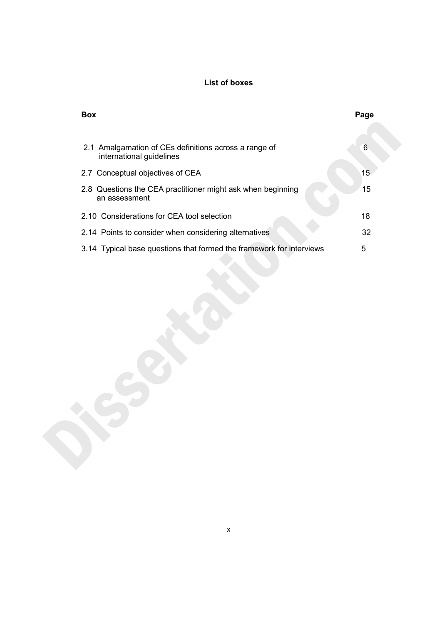### **List of boxes**

| <b>Box</b>                                                                        | Page |
|-----------------------------------------------------------------------------------|------|
| 2.1 Amalgamation of CEs definitions across a range of<br>international guidelines | 6    |
| 2.7 Conceptual objectives of CEA                                                  | 15   |
| 2.8 Questions the CEA practitioner might ask when beginning<br>an assessment      | 15   |
| 2.10 Considerations for CEA tool selection                                        | 18   |
| 2.14 Points to consider when considering alternatives                             | 32   |
| 3.14 Typical base questions that formed the framework for interviews              | 5    |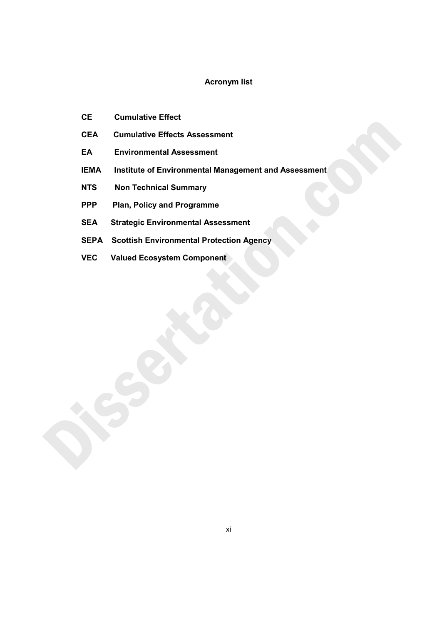### **Acronym list**

- **CE Cumulative Effect**
- **CEA Cumulative Effects Assessment**
- **EA Environmental Assessment**
- **IEMA** Institute of Environmental Management and Assessment
- **NTS Non Technical Summary**
- **PPP Plan, Policy and Programme**
- **SEA Strategic Environmental Assessment**
- **SEPA Scottish Environmental Protection Agency**
- **VEC Valued Ecosystem Component**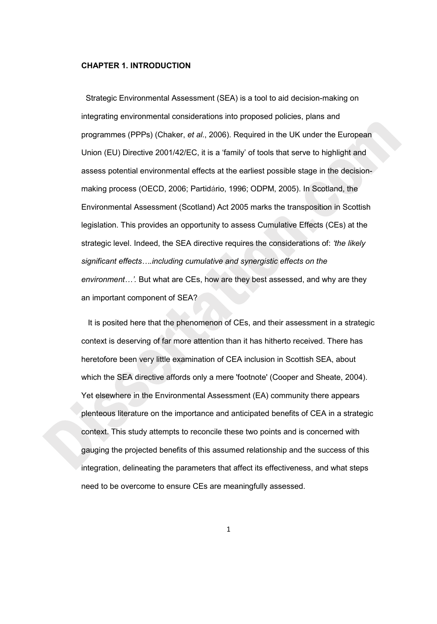#### **CHAPTER 1. INTRODUCTION**

 Strategic Environmental Assessment (SEA) is a tool to aid decision-making on integrating environmental considerations into proposed policies, plans and programmes (PPPs) (Chaker, *et al*., 2006). Required in the UK under the European Union (EU) Directive 2001/42/EC, it is a 'family' of tools that serve to highlight and assess potential environmental effects at the earliest possible stage in the decisionmaking process (OECD, 2006; Partidário, 1996; ODPM, 2005). In Scotland, the Environmental Assessment (Scotland) Act 2005 marks the transposition in Scottish legislation. This provides an opportunity to assess Cumulative Effects (CEs) at the strategic level. Indeed, the SEA directive requires the considerations of: *'the likely significant effects….including cumulative and synergistic effects on the environment…'.* But what are CEs, how are they best assessed, and why are they an important component of SEA?

 It is posited here that the phenomenon of CEs, and their assessment in a strategic context is deserving of far more attention than it has hitherto received. There has heretofore been very little examination of CEA inclusion in Scottish SEA, about which the SEA directive affords only a mere 'footnote' (Cooper and Sheate, 2004). Yet elsewhere in the Environmental Assessment (EA) community there appears plenteous literature on the importance and anticipated benefits of CEA in a strategic context. This study attempts to reconcile these two points and is concerned with gauging the projected benefits of this assumed relationship and the success of this integration, delineating the parameters that affect its effectiveness, and what steps need to be overcome to ensure CEs are meaningfully assessed.

1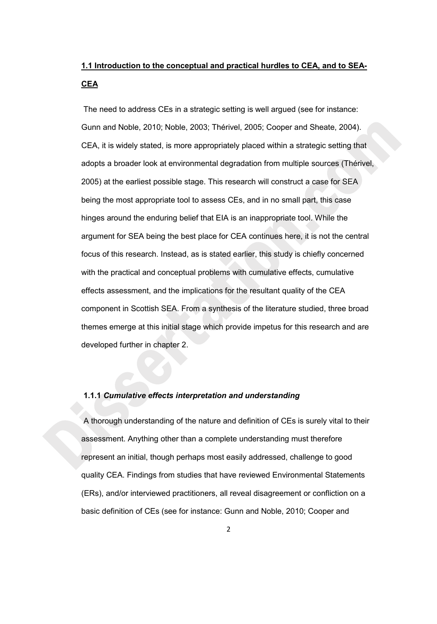# **1.1 Introduction to the conceptual and practical hurdles to CEA, and to SEA-CEA**

 The need to address CEs in a strategic setting is well argued (see for instance: Gunn and Noble, 2010; Noble, 2003; Thérivel, 2005; Cooper and Sheate, 2004). CEA, it is widely stated, is more appropriately placed within a strategic setting that adopts a broader look at environmental degradation from multiple sources (Thérivel, 2005) at the earliest possible stage. This research will construct a case for SEA being the most appropriate tool to assess CEs, and in no small part, this case hinges around the enduring belief that EIA is an inappropriate tool. While the argument for SEA being the best place for CEA continues here, it is not the central focus of this research. Instead, as is stated earlier, this study is chiefly concerned with the practical and conceptual problems with cumulative effects, cumulative effects assessment, and the implications for the resultant quality of the CEA component in Scottish SEA. From a synthesis of the literature studied, three broad themes emerge at this initial stage which provide impetus for this research and are developed further in chapter 2.

#### **1.1.1** *Cumulative effects interpretation and understanding*

A thorough understanding of the nature and definition of CEs is surely vital to their assessment. Anything other than a complete understanding must therefore represent an initial, though perhaps most easily addressed, challenge to good quality CEA. Findings from studies that have reviewed Environmental Statements (ERs), and/or interviewed practitioners, all reveal disagreement or confliction on a basic definition of CEs (see for instance: Gunn and Noble, 2010; Cooper and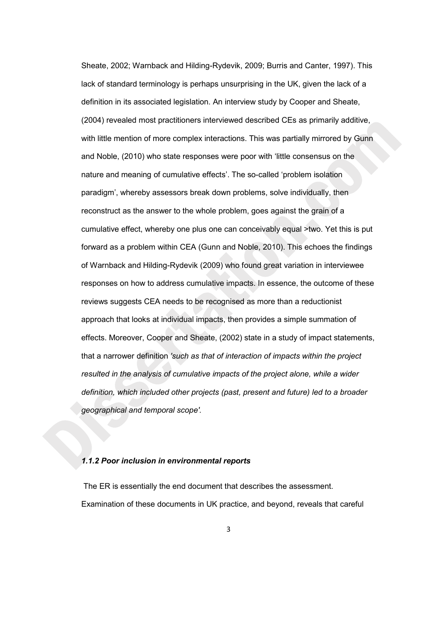Sheate, 2002; Warnback and Hilding-Rydevik, 2009; Burris and Canter, 1997). This lack of standard terminology is perhaps unsurprising in the UK, given the lack of a definition in its associated legislation. An interview study by Cooper and Sheate, (2004) revealed most practitioners interviewed described CEs as primarily additive, with little mention of more complex interactions. This was partially mirrored by Gunn and Noble, (2010) who state responses were poor with 'little consensus on the nature and meaning of cumulative effects'. The so-called 'problem isolation paradigm', whereby assessors break down problems, solve individually, then reconstruct as the answer to the whole problem, goes against the grain of a cumulative effect, whereby one plus one can conceivably equal >two. Yet this is put forward as a problem within CEA (Gunn and Noble, 2010). This echoes the findings of Warnback and Hilding-Rydevik (2009) who found great variation in interviewee responses on how to address cumulative impacts. In essence, the outcome of these reviews suggests CEA needs to be recognised as more than a reductionist approach that looks at individual impacts, then provides a simple summation of effects. Moreover, Cooper and Sheate, (2002) state in a study of impact statements, that a narrower definition *'such as that of interaction of impacts within the project resulted in the analysis of cumulative impacts of the project alone, while a wider definition, which included other projects (past, present and future) led to a broader geographical and temporal scope'.* 

#### *1.1.2 Poor inclusion in environmental reports*

 The ER is essentially the end document that describes the assessment. Examination of these documents in UK practice, and beyond, reveals that careful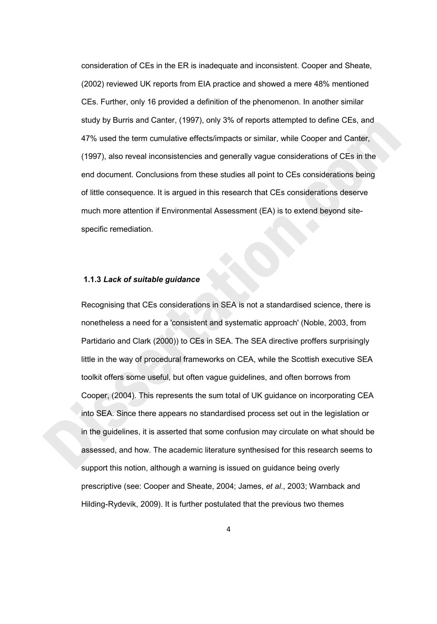consideration of CEs in the ER is inadequate and inconsistent. Cooper and Sheate, (2002) reviewed UK reports from EIA practice and showed a mere 48% mentioned CEs. Further, only 16 provided a definition of the phenomenon. In another similar study by Burris and Canter, (1997), only 3% of reports attempted to define CEs, and 47% used the term cumulative effects/impacts or similar, while Cooper and Canter, (1997), also reveal inconsistencies and generally vague considerations of CEs in the end document. Conclusions from these studies all point to CEs considerations being of little consequence. It is argued in this research that CEs considerations deserve much more attention if Environmental Assessment (EA) is to extend beyond sitespecific remediation.

#### **1.1.3** *Lack of suitable guidance*

Recognising that CEs considerations in SEA is not a standardised science, there is nonetheless a need for a 'consistent and systematic approach' (Noble, 2003, from Partidario and Clark (2000)) to CEs in SEA. The SEA directive proffers surprisingly little in the way of procedural frameworks on CEA, while the Scottish executive SEA toolkit offers some useful, but often vague guidelines, and often borrows from Cooper, (2004). This represents the sum total of UK guidance on incorporating CEA into SEA. Since there appears no standardised process set out in the legislation or in the guidelines, it is asserted that some confusion may circulate on what should be assessed, and how. The academic literature synthesised for this research seems to support this notion, although a warning is issued on guidance being overly prescriptive (see: Cooper and Sheate, 2004; James, *et al*., 2003; Warnback and Hilding-Rydevik, 2009). It is further postulated that the previous two themes

4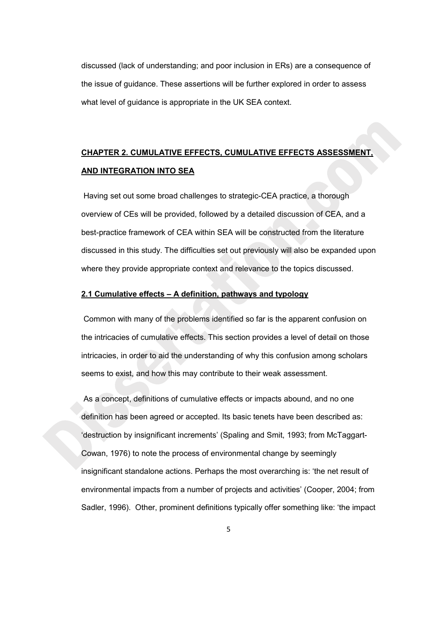discussed (lack of understanding; and poor inclusion in ERs) are a consequence of the issue of guidance. These assertions will be further explored in order to assess what level of guidance is appropriate in the UK SEA context.

# **CHAPTER 2. CUMULATIVE EFFECTS, CUMULATIVE EFFECTS ASSESSMENT, AND INTEGRATION INTO SEA**

 Having set out some broad challenges to strategic-CEA practice, a thorough overview of CEs will be provided, followed by a detailed discussion of CEA, and a best-practice framework of CEA within SEA will be constructed from the literature discussed in this study. The difficulties set out previously will also be expanded upon where they provide appropriate context and relevance to the topics discussed.

#### **2.1 Cumulative effects – A definition, pathways and typology**

 Common with many of the problems identified so far is the apparent confusion on the intricacies of cumulative effects. This section provides a level of detail on those intricacies, in order to aid the understanding of why this confusion among scholars seems to exist, and how this may contribute to their weak assessment.

 As a concept, definitions of cumulative effects or impacts abound, and no one definition has been agreed or accepted. Its basic tenets have been described as: 'destruction by insignificant increments' (Spaling and Smit, 1993; from McTaggart-Cowan, 1976) to note the process of environmental change by seemingly insignificant standalone actions. Perhaps the most overarching is: 'the net result of environmental impacts from a number of projects and activities' (Cooper, 2004; from Sadler, 1996). Other, prominent definitions typically offer something like: 'the impact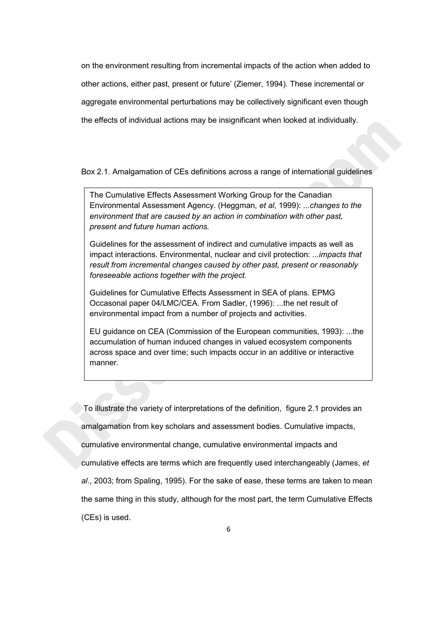on the environment resulting from incremental impacts of the action when added to other actions, either past, present or future' (Ziemer, 1994). These incremental or aggregate environmental perturbations may be collectively significant even though the effects of individual actions may be insignificant when looked at individually.

Box 2.1. Amalgamation of CEs definitions across a range of international guidelines

The Cumulative Effects Assessment Working Group for the Canadian Environmental Assessment Agency. (Heggman, *et al*, 1999): ...*changes to the environment that are caused by an action in combination with other past, present and future human actions.* 

Guidelines for the assessment of indirect and cumulative impacts as well as impact interactions. Environmental, nuclear and civil protection: *...impacts that result from incremental changes caused by other past, present or reasonably foreseeable actions together with the project.* 

Guidelines for Cumulative Effects Assessment in SEA of plans. EPMG Occasonal paper 04/LMC/CEA. From Sadler, (1996): ...the net result of environmental impact from a number of projects and activities.

EU guidance on CEA (Commission of the European communities, 1993): ...the accumulation of human induced changes in valued ecosystem components across space and over time; such impacts occur in an additive or interactive manner.

 To illustrate the variety of interpretations of the definition, figure 2.1 provides an amalgamation from key scholars and assessment bodies. Cumulative impacts, cumulative environmental change, cumulative environmental impacts and cumulative effects are terms which are frequently used interchangeably (James, *et al*., 2003; from Spaling, 1995). For the sake of ease, these terms are taken to mean the same thing in this study, although for the most part, the term Cumulative Effects (CEs) is used.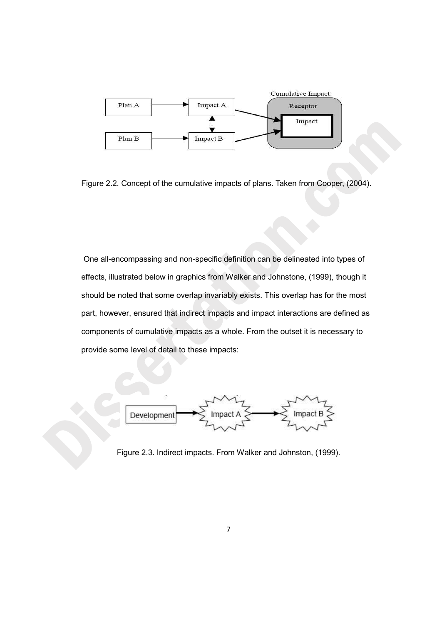

Figure 2.2. Concept of the cumulative impacts of plans. Taken from Cooper, (2004).

 One all-encompassing and non-specific definition can be delineated into types of effects, illustrated below in graphics from Walker and Johnstone, (1999), though it should be noted that some overlap invariably exists. This overlap has for the most part, however, ensured that indirect impacts and impact interactions are defined as components of cumulative impacts as a whole. From the outset it is necessary to provide some level of detail to these impacts:



Figure 2.3. Indirect impacts. From Walker and Johnston, (1999).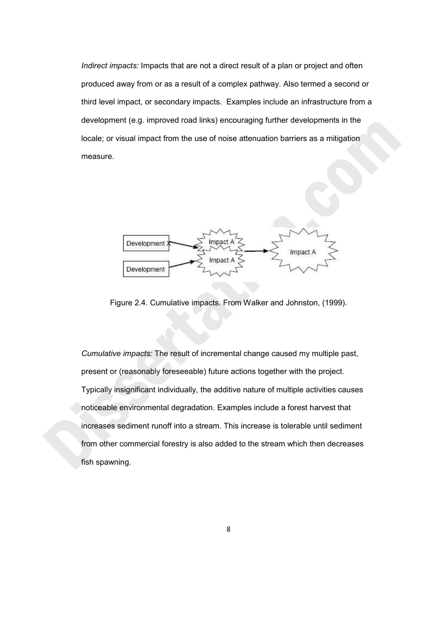*Indirect impacts:* Impacts that are not a direct result of a plan or project and often produced away from or as a result of a complex pathway. Also termed a second or third level impact, or secondary impacts. Examples include an infrastructure from a development (e.g. improved road links) encouraging further developments in the locale; or visual impact from the use of noise attenuation barriers as a mitigation measure.



Figure 2.4. Cumulative impacts. From Walker and Johnston, (1999).

*Cumulative impacts:* The result of incremental change caused my multiple past, present or (reasonably foreseeable) future actions together with the project. Typically insignificant individually, the additive nature of multiple activities causes noticeable environmental degradation. Examples include a forest harvest that increases sediment runoff into a stream. This increase is tolerable until sediment from other commercial forestry is also added to the stream which then decreases fish spawning.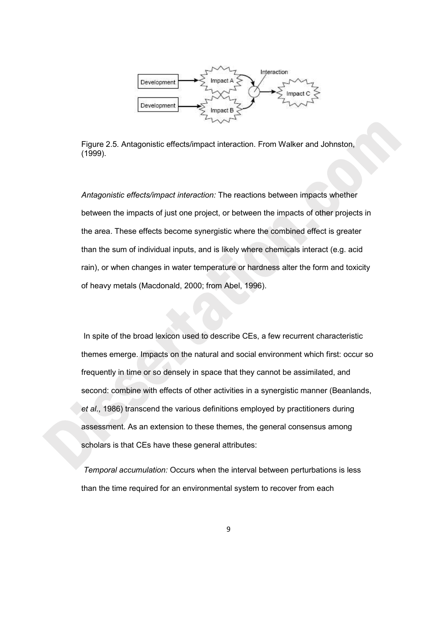

Figure 2.5. Antagonistic effects/impact interaction. From Walker and Johnston, (1999).

*Antagonistic effects/impact interaction:* The reactions between impacts whether between the impacts of just one project, or between the impacts of other projects in the area. These effects become synergistic where the combined effect is greater than the sum of individual inputs, and is likely where chemicals interact (e.g. acid rain), or when changes in water temperature or hardness alter the form and toxicity of heavy metals (Macdonald, 2000; from Abel, 1996).

 In spite of the broad lexicon used to describe CEs, a few recurrent characteristic themes emerge. Impacts on the natural and social environment which first: occur so frequently in time or so densely in space that they cannot be assimilated, and second: combine with effects of other activities in a synergistic manner (Beanlands, *et al*., 1986) transcend the various definitions employed by practitioners during assessment. As an extension to these themes, the general consensus among scholars is that CEs have these general attributes:

*Temporal accumulation:* Occurs when the interval between perturbations is less than the time required for an environmental system to recover from each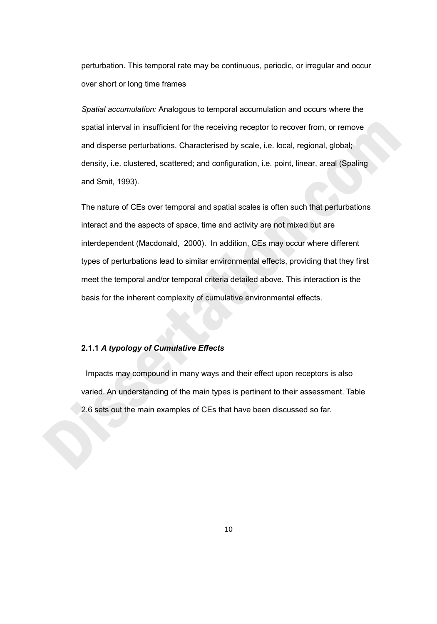perturbation. This temporal rate may be continuous, periodic, or irregular and occur over short or long time frames

*Spatial accumulation:* Analogous to temporal accumulation and occurs where the spatial interval in insufficient for the receiving receptor to recover from, or remove and disperse perturbations. Characterised by scale, i.e. local, regional, global; density, i.e. clustered, scattered; and configuration, i.e. point, linear, areal (Spaling and Smit, 1993).

The nature of CEs over temporal and spatial scales is often such that perturbations interact and the aspects of space, time and activity are not mixed but are interdependent (Macdonald, 2000). In addition, CEs may occur where different types of perturbations lead to similar environmental effects, providing that they first meet the temporal and/or temporal criteria detailed above. This interaction is the basis for the inherent complexity of cumulative environmental effects.

#### **2.1.1** *A typology of Cumulative Effects*

 Impacts may compound in many ways and their effect upon receptors is also varied. An understanding of the main types is pertinent to their assessment. Table 2.6 sets out the main examples of CEs that have been discussed so far.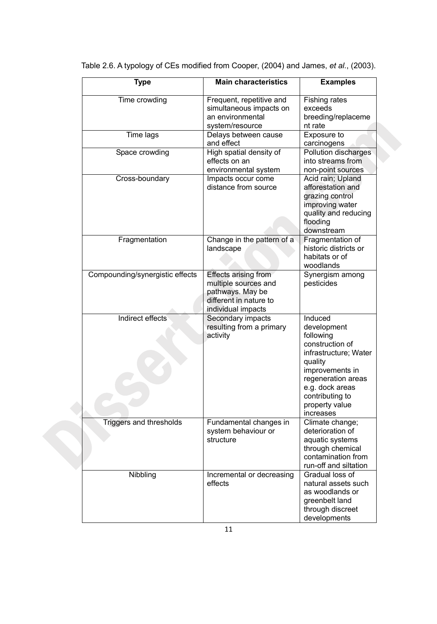| <b>Type</b>                     | <b>Main characteristics</b>                                                                                      | <b>Examples</b>                                                                                                                                                                                          |
|---------------------------------|------------------------------------------------------------------------------------------------------------------|----------------------------------------------------------------------------------------------------------------------------------------------------------------------------------------------------------|
| Time crowding                   | Frequent, repetitive and<br>simultaneous impacts on<br>an environmental<br>system/resource                       | Fishing rates<br>exceeds<br>breeding/replaceme<br>nt rate                                                                                                                                                |
| Time lags                       | Delays between cause<br>and effect                                                                               | Exposure to<br>carcinogens                                                                                                                                                                               |
| Space crowding                  | High spatial density of<br>effects on an<br>environmental system                                                 | Pollution discharges<br>into streams from<br>non-point sources                                                                                                                                           |
| Cross-boundary                  | Impacts occur come<br>distance from source                                                                       | Acid rain; Upland<br>afforestation and<br>grazing control<br>improving water<br>quality and reducing<br>flooding<br>downstream                                                                           |
| Fragmentation                   | Change in the pattern of a<br>landscape                                                                          | Fragmentation of<br>historic districts or<br>habitats or of<br>woodlands                                                                                                                                 |
| Compounding/synergistic effects | Effects arising from<br>multiple sources and<br>pathways. May be<br>different in nature to<br>individual impacts | Synergism among<br>pesticides                                                                                                                                                                            |
| Indirect effects                | Secondary impacts<br>resulting from a primary<br>activity                                                        | Induced<br>development<br>following<br>construction of<br>infrastructure; Water<br>quality<br>improvements in<br>regeneration areas<br>e.g. dock areas<br>contributing to<br>property value<br>increases |
| Triggers and thresholds         | Fundamental changes in<br>system behaviour or<br>structure                                                       | Climate change;<br>deterioration of<br>aquatic systems<br>through chemical<br>contamination from<br>run-off and siltation                                                                                |
| Nibbling                        | Incremental or decreasing<br>effects                                                                             | Gradual loss of<br>natural assets such<br>as woodlands or<br>greenbelt land<br>through discreet<br>developments                                                                                          |

Table 2.6. A typology of CEs modified from Cooper, (2004) and James, *et al*., (2003).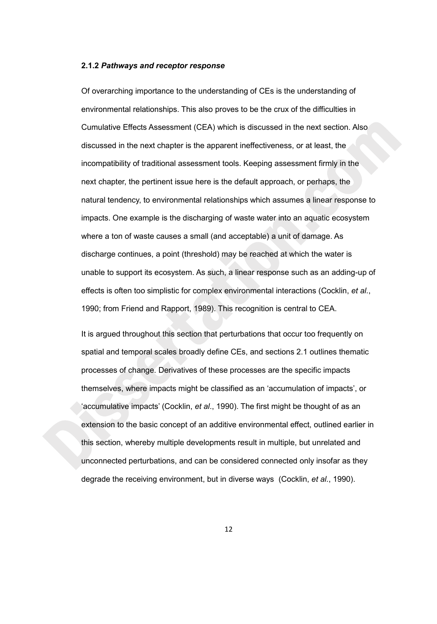#### **2.1.2** *Pathways and receptor response*

Of overarching importance to the understanding of CEs is the understanding of environmental relationships. This also proves to be the crux of the difficulties in Cumulative Effects Assessment (CEA) which is discussed in the next section. Also discussed in the next chapter is the apparent ineffectiveness, or at least, the incompatibility of traditional assessment tools. Keeping assessment firmly in the next chapter, the pertinent issue here is the default approach, or perhaps, the natural tendency, to environmental relationships which assumes a linear response to impacts. One example is the discharging of waste water into an aquatic ecosystem where a ton of waste causes a small (and acceptable) a unit of damage. As discharge continues, a point (threshold) may be reached at which the water is unable to support its ecosystem. As such, a linear response such as an adding-up of effects is often too simplistic for complex environmental interactions (Cocklin, *et al*., 1990; from Friend and Rapport, 1989). This recognition is central to CEA.

It is argued throughout this section that perturbations that occur too frequently on spatial and temporal scales broadly define CEs, and sections 2.1 outlines thematic processes of change. Derivatives of these processes are the specific impacts themselves, where impacts might be classified as an 'accumulation of impacts', or 'accumulative impacts' (Cocklin, *et al*., 1990). The first might be thought of as an extension to the basic concept of an additive environmental effect, outlined earlier in this section, whereby multiple developments result in multiple, but unrelated and unconnected perturbations, and can be considered connected only insofar as they degrade the receiving environment, but in diverse ways (Cocklin, *et al*., 1990).

12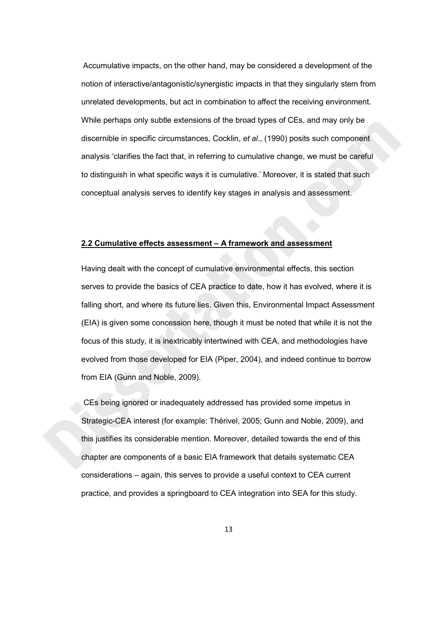Accumulative impacts, on the other hand, may be considered a development of the notion of interactive/antagonistic/synergistic impacts in that they singularly stem from unrelated developments, but act in combination to affect the receiving environment. While perhaps only subtle extensions of the broad types of CEs, and may only be discernible in specific circumstances, Cocklin, *et al*., (1990) posits such component analysis 'clarifies the fact that, in referring to cumulative change, we must be careful to distinguish in what specific ways it is cumulative.' Moreover, it is stated that such conceptual analysis serves to identify key stages in analysis and assessment.

#### **2.2 Cumulative effects assessment – A framework and assessment**

Having dealt with the concept of cumulative environmental effects, this section serves to provide the basics of CEA practice to date, how it has evolved, where it is falling short, and where its future lies. Given this, Environmental Impact Assessment (EIA) is given some concession here, though it must be noted that while it is not the focus of this study, it is inextricably intertwined with CEA, and methodologies have evolved from those developed for EIA (Piper, 2004), and indeed continue to borrow from EIA (Gunn and Noble, 2009).

 CEs being ignored or inadequately addressed has provided some impetus in Strategic-CEA interest (for example: Thérivel, 2005; Gunn and Noble, 2009), and this justifies its considerable mention. Moreover, detailed towards the end of this chapter are components of a basic EIA framework that details systematic CEA considerations – again, this serves to provide a useful context to CEA current practice, and provides a springboard to CEA integration into SEA for this study.